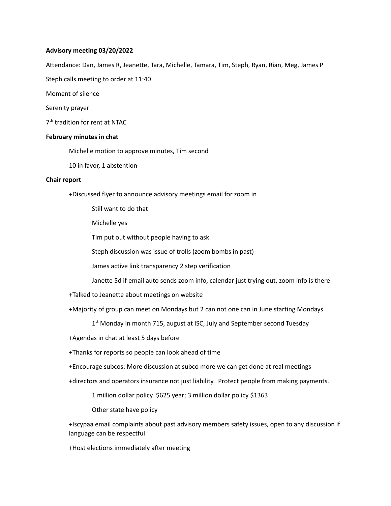### **Advisory meeting 03/20/2022**

Attendance: Dan, James R, Jeanette, Tara, Michelle, Tamara, Tim, Steph, Ryan, Rian, Meg, James P

Steph calls meeting to order at 11:40

Moment of silence

Serenity prayer

7<sup>th</sup> tradition for rent at NTAC

### **February minutes in chat**

Michelle motion to approve minutes, Tim second

10 in favor, 1 abstention

#### **Chair report**

+Discussed flyer to announce advisory meetings email for zoom in

Still want to do that

Michelle yes

Tim put out without people having to ask

Steph discussion was issue of trolls (zoom bombs in past)

James active link transparency 2 step verification

Janette 5d if email auto sends zoom info, calendar just trying out, zoom info is there

+Talked to Jeanette about meetings on website

+Majority of group can meet on Mondays but 2 can not one can in June starting Mondays

1<sup>st</sup> Monday in month 715, august at ISC, July and September second Tuesday

+Agendas in chat at least 5 days before

+Thanks for reports so people can look ahead of time

+Encourage subcos: More discussion at subco more we can get done at real meetings

+directors and operators insurance not just liability. Protect people from making payments.

1 million dollar policy \$625 year; 3 million dollar policy \$1363

Other state have policy

+Iscypaa email complaints about past advisory members safety issues, open to any discussion if language can be respectful

+Host elections immediately after meeting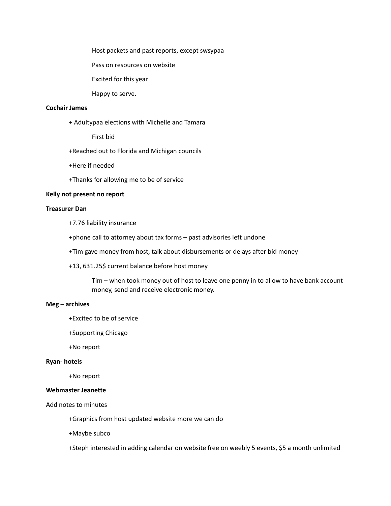Host packets and past reports, except swsypaa

Pass on resources on website

Excited for this year

Happy to serve.

## **Cochair James**

+ Adultypaa elections with Michelle and Tamara

First bid

+Reached out to Florida and Michigan councils

+Here if needed

+Thanks for allowing me to be of service

#### **Kelly not present no report**

# **Treasurer Dan**

+7.76 liability insurance

+phone call to attorney about tax forms – past advisories left undone

+Tim gave money from host, talk about disbursements or delays after bid money

+13, 631.25\$ current balance before host money

Tim – when took money out of host to leave one penny in to allow to have bank account money, send and receive electronic money.

### **Meg – archives**

+Excited to be of service

+Supporting Chicago

+No report

#### **Ryan- hotels**

+No report

## **Webmaster Jeanette**

Add notes to minutes

+Graphics from host updated website more we can do

+Maybe subco

+Steph interested in adding calendar on website free on weebly 5 events, \$5 a month unlimited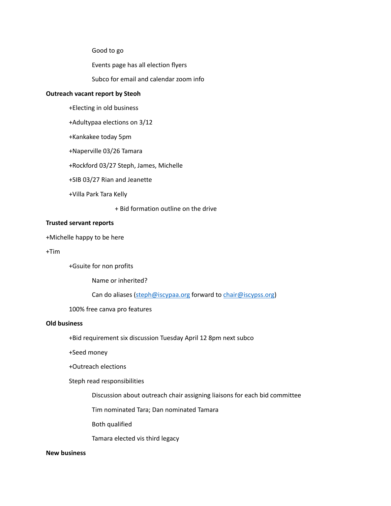Good to go

Events page has all election flyers

Subco for email and calendar zoom info

### **Outreach vacant report by Steoh**

- +Electing in old business
- +Adultypaa elections on 3/12
- +Kankakee today 5pm
- +Naperville 03/26 Tamara
- +Rockford 03/27 Steph, James, Michelle
- +SIB 03/27 Rian and Jeanette
- +Villa Park Tara Kelly

+ Bid formation outline on the drive

# **Trusted servant reports**

+Michelle happy to be here

+Tim

+Gsuite for non profits

Name or inherited?

Can do aliases ([steph@iscypaa.org](mailto:steph@iscypaa.org) forward to [chair@iscypss.org\)](mailto:chair@iscypss.org)

# 100% free canva pro features

# **Old business**

+Bid requirement six discussion Tuesday April 12 8pm next subco

+Seed money

+Outreach elections

### Steph read responsibilities

Discussion about outreach chair assigning liaisons for each bid committee

Tim nominated Tara; Dan nominated Tamara

Both qualified

Tamara elected vis third legacy

## **New business**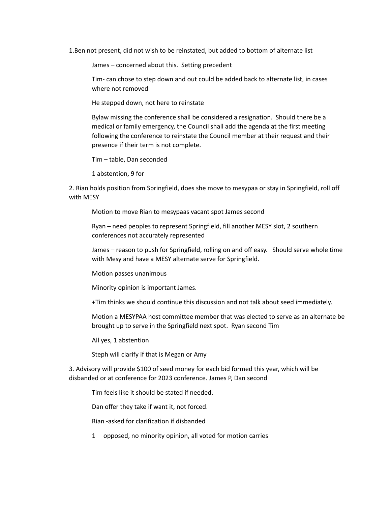1.Ben not present, did not wish to be reinstated, but added to bottom of alternate list

James – concerned about this. Setting precedent

Tim- can chose to step down and out could be added back to alternate list, in cases where not removed

He stepped down, not here to reinstate

Bylaw missing the conference shall be considered a resignation. Should there be a medical or family emergency, the Council shall add the agenda at the first meeting following the conference to reinstate the Council member at their request and their presence if their term is not complete.

Tim – table, Dan seconded

1 abstention, 9 for

2. Rian holds position from Springfield, does she move to mesypaa or stay in Springfield, roll off with MESY

Motion to move Rian to mesypaas vacant spot James second

Ryan – need peoples to represent Springfield, fill another MESY slot, 2 southern conferences not accurately represented

James – reason to push for Springfield, rolling on and off easy. Should serve whole time with Mesy and have a MESY alternate serve for Springfield.

Motion passes unanimous

Minority opinion is important James.

+Tim thinks we should continue this discussion and not talk about seed immediately.

Motion a MESYPAA host committee member that was elected to serve as an alternate be brought up to serve in the Springfield next spot. Ryan second Tim

All yes, 1 abstention

Steph will clarify if that is Megan or Amy

3. Advisory will provide \$100 of seed money for each bid formed this year, which will be disbanded or at conference for 2023 conference. James P, Dan second

Tim feels like it should be stated if needed.

Dan offer they take if want it, not forced.

Rian -asked for clarification if disbanded

1 opposed, no minority opinion, all voted for motion carries